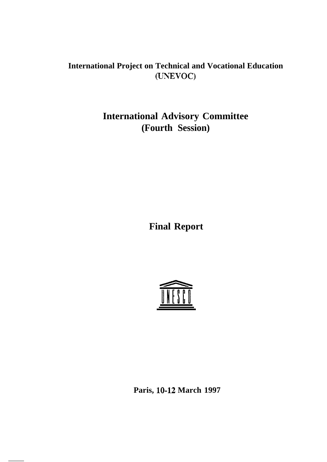# **International Project on Technical and Vocational Education (UNEVOC)**

# **International Advisory Committee (Fourth Session)**

**Final Report**



**Paris, lo-12 March 1997**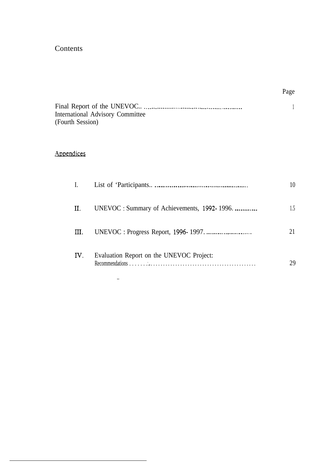# Contents

| <b>International Advisory Committee</b> |  |
|-----------------------------------------|--|
| (Fourth Session)                        |  |

# **Appendices**

| $\overline{I}$ . |                                              |               |
|------------------|----------------------------------------------|---------------|
| Ш.               | UNEVOC : Summary of Achievements, 1992-1996. | $1.5^{\circ}$ |
| Ш.               |                                              |               |
| IV.              | Evaluation Report on the UNEVOC Project:     | 29            |

 $\sim$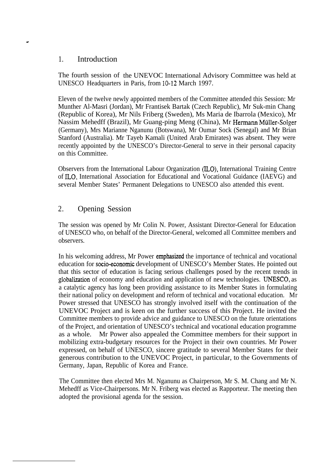#### 1. Introduction

The fourth session of the UNEVOC International Advisory Committee was held at UNESCO Headquarters in Paris, from 10-12 March 1997.

Eleven of the twelve newly appointed members of the Committee attended this Session: Mr Munther Al-Masri (Jordan), Mr Frantisek Bartak (Czech Republic), Mr Suk-min Chang (Republic of Korea), Mr Nils Friberg (Sweden), Ms Maria de Ibarrola (Mexico), Mr Nassim Mehedff (Brazil), Mr Guang-ping Meng (China), Mr Hermann Muller-Solger (Germany), Mrs Marianne Nganunu (Botswana), Mr Oumar Sock (Senegal) and Mr Brian Stanford (Australia). Mr Tayeb Kamali (United Arab Emirates) was absent. They were recently appointed by the UNESCO's Director-General to serve in their personal capacity on this Committee.

Observers from the International Labour Organization (ILO), International Training Centre of ILO, International Association for Educational and Vocational Guidance (IAEVG) and several Member States' Permanent Delegations to UNESCO also attended this event.

## 2. Opening Session

The session was opened by Mr Colin N. Power, Assistant Director-General for Education of UNESCO who, on behalf of the Director-General, welcomed all Committee members and observers.

In his welcoming address, Mr Power emphasized the importance of technical and vocational education for socio-economic development of UNESCO's Member States. He pointed out that this sector of education is facing serious challenges posed by the recent trends in globalization of economy and education and application of new technologies. UNESCO, as a catalytic agency has long been providing assistance to its Member States in formulating their national policy on development and reform of technical and vocational education. Mr Power stressed that UNESCO has strongly involved itself with the continuation of the UNEVOC Project and is keen on the further success of this Project. He invited the Committee members to provide advice and guidance to UNESCO on the future orientations of the Project, and orientation of UNESCO's technical and vocational education programme as a whole. Mr Power also appealed the Committee members for their support in mobilizing extra-budgetary resources for the Project in their own countries. Mr Power expressed, on behalf of UNESCO, sincere gratitude to several Member States for their generous contribution to the UNEVOC Project, in particular, to the Governments of Germany, Japan, Republic of Korea and France.

The Committee then elected Mrs M. Nganunu as Chairperson, Mr S. M. Chang and Mr N. Mehedff as Vice-Chairpersons. Mr N. Friberg was elected as Rapporteur. The meeting then adopted the provisional agenda for the session.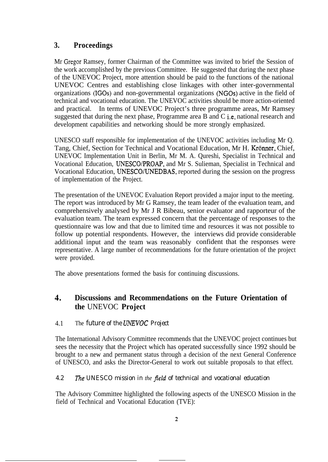# **3. Proceedings**

Mr Gregor Ramsey, former Chairman of the Committee was invited to brief the Session of the work accomplished by the previous Committee. He suggested that during the next phase of the UNEVOC Project, more attention should be paid to the functions of the national UNEVOC Centres and establishing close linkages with other inter-governmental organizations (IGOs) and non-governmental organizations (NGOs) active in the field of technical and vocational education. The UNEVOC activities should be more action-oriented and practical. In terms of UNEVOC Project's three programme areas, Mr Ramsey suggested that during the next phase, Programme area B and C i.e, national research and development capabilities and networking should be more strongly emphasized.

UNESCO staff responsible for implementation of the UNEVOC activities including Mr Q. Tang, Chief, Section for Technical and Vocational Education, Mr H. Krönner, Chief, UNEVOC Implementation Unit in Berlin, Mr M. A. Qureshi, Specialist in Technical and Vocational Education, UNESCO/PROAP, and Mr S. Sulieman, Specialist in Technical and Vocational Education, UNESCO/UNEDBAS, reported during the session on the progress of implementation of the Project.

The presentation of the UNEVOC Evaluation Report provided a major input to the meeting. The report was introduced by Mr G Ramsey, the team leader of the evaluation team, and comprehensively analysed by Mr J R Bibeau, senior evaluator and rapporteur of the evaluation team. The team expressed concern that the percentage of responses to the questionnaire was low and that due to limited time and resources it was not possible to follow up potential respondents. However, the interviews did provide considerable additional input and the team was reasonably confident that the responses were representative. A large number of recommendations for the future orientation of the project were provided.

The above presentations formed the basis for continuing discussions.

# 4. **Discussions and Recommendations on the Future Orientation of the** UNEVOC **Project**

### 4.1 The *future of the UNEVOC Project*

The International Advisory Committee recommends that the UNEVOC project continues but sees the necessity that the Project which has operated successfully since 1992 should be brought to a new and permanent status through a decision of the next General Conference of UNESCO, and asks the Director-General to work out suitable proposals to that effect.

#### *4.2 The UNESCO mission in the Jeld of technical and vocational education*

The Advisory Committee highlighted the following aspects of the UNESCO Mission in the field of Technical and Vocational Education (TVE):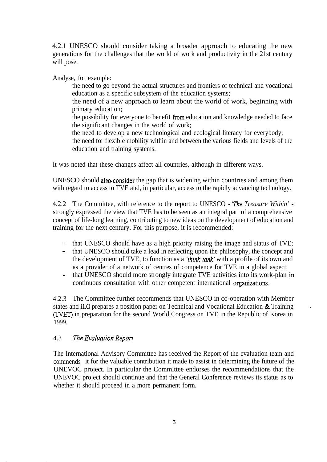4.2.1 UNESCO should consider taking a broader approach to educating the new generations for the challenges that the world of work and productivity in the 21st century will pose.

Analyse, for example:

- the need to go beyond the actual structures and frontiers of technical and vocational education as a specific subsystem of the education systems;
- the need of a new approach to learn about the world of work, beginning with primary education;
- the possibility for everyone to benefit from education and knowledge needed to face the significant changes in the world of work;
- the need to develop a new technological and ecological literacy for everybody;

the need for flexible mobility within and between the various fields and levels of the education and training systems.

It was noted that these changes affect all countries, although in different ways.

UNESCO should also.consider the gap that is widening within countries and among them with regard to access to TVE and, in particular, access to the rapidly advancing technology.

4.2.2 The Committee, with reference to the report to UNESCO - 'The *Treasure Within'*  strongly expressed the view that TVE has to be seen as an integral part of a comprehensive concept of life-long learning, contributing to new ideas on the development of education and training for the next century. For this purpose, it is recommended:

- that UNESCO should have as a high priority raising the image and status of TVE;
- that UNESCO should take a lead in reflecting upon the philosophy, the concept and the development of TVE, to function as a *'fhink-tank'* with a profile of its own and as a provider of a network of centres of competence for TVE in a global aspect;
- that UNESCO should more strongly integrate TVE activities into its work-plan in continuous consultation with other competent international organizations.

4.2.3 The Committee further recommends that UNESCO in co-operation with Member states and IL0 prepares a position paper on Technical and Vocational Education & Training (TVET) in preparation for the second World Congress on TVE in the Republic of Korea in 1999.

.

#### 4.3 The *Evaluarion Repor?*

The International Advisory Cornmittee has received the Report of the evaluation team and commends it for the valuable contribution it made to assist in determining the future of the UNEVOC project. In particular the Committee endorses the recommendations that the UNEVOC project should continue and that the General Conference reviews its status as to whether it should proceed in a more permanent form.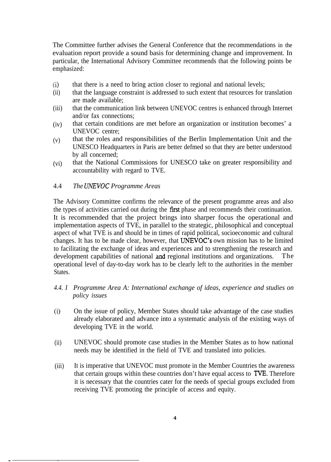The Committee further advises the General Conference that the recommendations in the evaluation report provide a sound basis for determining change and improvement. In particular, the International Advisory Committee recommends that the following points be emphasized:

- $(i)$ that there is a need to bring action closer to regional and national levels;
- $(ii)$ that the language constraint is addressed to such extent that resources for translation are made available;
- (iii) that the communication link between UNEVOC centres is enhanced through Internet and/or fax connections;
- $(iv)$ that certain conditions are met before an organization or institution becomes' a UNEVOC centre;
- (v) that the roles and responsibilities of the Berlin Implementation Unit and the UNESCO Headquarters in Paris are better defmed so that they are better understood by all concerned;
- (vi) that the National Commissions for UNESCO take on greater responsibility and accountability with regard to TVE.
- 4.4 *The UAEVOC Programme Areas*

\_ \_

The Advisory Committee confirms the relevance of the present programme areas and also the types of activities carried out during the first phase and recommends their continuation. It is recommended that the project brings into sharper focus the operational and implementation aspects of TVE, in parallel to the strategic, philosophical and conceptual aspect of what TVE is and should be in times of rapid political, socioeconomic and cultural changes. It has to be made clear, however, that UNEVOC's own mission has to be limited to facilitating the exchange of ideas and experiences and to strengthening the research and development capabilities of national and regional institutions and organizations. The operational level of day-to-day work has to be clearly left to the authorities in the member States.

- *4.4. I Programme Area A: International exchange of ideas, experience and studies on policy issues*
- *(i)* On the issue of policy, Member States should take advantage of the case studies already elaborated and advance into a systematic analysis of the existing ways of developing TVE in the world.
- $(ii)$ UNEVOC should promote case studies in the Member States as to how national needs may be identified in the field of TVE and translated into policies.
- (iii) It is imperative that UNEVOC must promote in the Member Countries the awareness that certain groups within these countries don't have equal access to TVE. Therefore it is necessary that the countries cater for the needs of special groups excluded from receiving TVE promoting the principle of access and equity.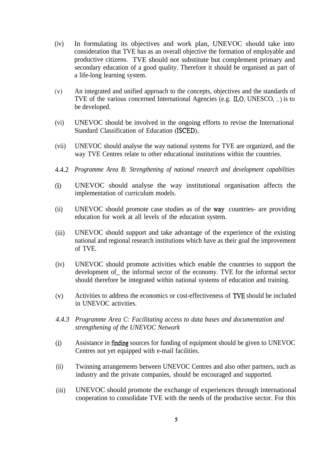- (iv) In formulating its objectives and work plan, UNEVOC should take into consideration that TVE has as an overall objective the formation of employable and productive citizens. TVE should not substitute but complement primary and secondary education of a good quality. Therefore it should be organised as part of a life-long learning system.
- (v) An integrated and unified approach to the concepts, objectives and the standards of TVE of the various concerned International Agencies (e.g. ILO, UNESCO, . .) is to be developed.
- (vi) UNEVOC should be involved in the ongoing efforts to revise the International Standard Classification of Education (ISCED).
- (vii) UNEVOC should analyse the way national systems for TVE are organized, and the way TVE Centres relate to other educational institutions within the countries.
- 4.4.2 *Programme Area B: Strengthening of national research and development capabilities*
- (0 UNEVOC should analyse the way institutional organisation affects the implementation of curriculum models.
- (ii) UNEVOC should promote case studies as of the way. countries- are providing education for work at all levels of the education system.
- (iii) UNEVOC should support and take advantage of the experience of the existing national and regional research institutions which have as their goal the improvement of TVE.
- (iv) UNEVOC should promote activities which enable the countries to support the development of\_ the informal sector of the economy. TVE for the informal sector should therefore be integrated within national systems of education and training.
- (v) Activities to address the economics or cost-effectiveness of TVE should be included in UNEVOC activities.
- *4.4.3 Programme Area C: Facilitating access to data bases and documentation and strengthening of the UNEVOC Network*
- (i) Assistance in finding sources for funding of equipment should be given to UNEVOC Centres not yet equipped with e-mail facilities.
- (ii) Twinning arrangements between UNEVOC Centres and also other partners, such as industry and the private companies, should be encouraged and supported.
- (iii) UNEVOC should promote the exchange of experiences through international cooperation to consolidate TVE with the needs of the productive sector. For this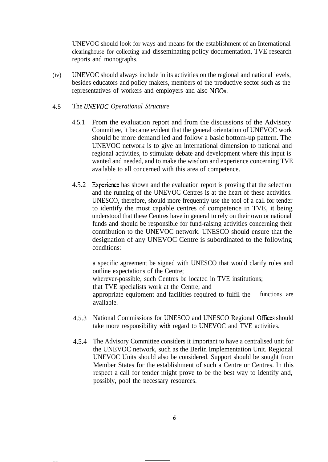UNEVOC should look for ways and means for the establishment of an International clearinghouse for collecting and disseminating policy documentation, TVE research reports and monographs.

 $(iv)$ UNEVOC should always include in its activities on the regional and national levels, besides educators and policy makers, members of the productive sector such as the representatives of workers and employers and also NGOs.

#### 4.5 The *UhEVOC Operational Structure*

- 4.5.1 From the evaluation report and from the discussions of the Advisory Committee, it became evident that the general orientation of UNEVOC work should be more demand led and follow a basic bottom-up pattern. The UNEVOC network is to give an international dimension to national and regional activities, to stimulate debate and development where this input is wanted and needed, and to make the wisdom and experience concerning TVE available to all concerned with this area of competence.
- 4.5.2 Experience has shown and the evaluation report is proving that the selection and the running of the UNEVOC Centres is at the heart of these activities. UNESCO, therefore, should more frequently use the tool of a call for tender to identify the most capable centres of competence in TVE, it being understood that these Centres have in general to rely on their own or national funds and should be responsible for fund-raising activities concerning their contribution to the UNEVOC network. UNESCO should ensure that the designation of any UNEVOC Centre is subordinated to the following conditions:

a specific agreement be signed with UNESCO that would clarify roles and outline expectations of the Centre;

wherever-possible, such Centres be located in TVE institutions;

that TVE specialists work at the Centre; and

appropriate equipment and facilities required to fulfil the functions are available.

- 4.5.3 National Commissions for UNESCO and UNESCO Regional Offices should take more responsibility with regard to UNEVOC and TVE activities.
- 4.5.4 The Advisory Committee considers it important to have a centralised unit for the UNEVOC network, such as the Berlin Implementation Unit. Regional UNEVOC Units should also be considered. Support should be sought from Member States for the establishment of such a Centre or Centres. In this respect a call for tender might prove to be the best way to identify and, possibly, pool the necessary resources.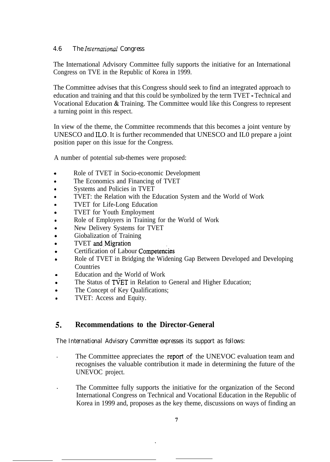#### *4.6 The Inrernarional Congress*

The International Advisory Committee fully supports the initiative for an International Congress on TVE in the Republic of Korea in 1999.

The Committee advises that this Congress should seek to find an integrated approach to education and training and that this could be symbolized by the term TVET - Technical and Vocational Education & Training. The Committee would like this Congress to represent a turning point in this respect.

In view of the theme, the Committee recommends that this becomes a joint venture by UNESCO and ILO. It is further recommended that UNESCO and IL0 prepare a joint position paper on this issue for the Congress.

A number of potential sub-themes were proposed:

- . Role of TVET in Socio-economic Development
- . The Economics and Financing of TVET
- . Systems and Policies in TVET
- . TVET: the Relation with the Education System and the World of Work
- . TVET for Life-Long Education
- . TVET for Youth Employment
- . Role of Employers in Training for the World of Work
- . New Delivery Systems for TVET
- . Giobalization of Training
- . TVET and-Migration
- . Certification of Labour Competencies
- . Role of TVET in Bridging the Widening Gap Between Developed and Developing Countries
- . Education and the World of Work
- . The Status of TVET in Relation to General and Higher Education;
- . The Concept of Key Qualifications;
- . TVET: Access and Equity.

#### 5. **Recommendations to the Director-General**

*The International Advisory Committee expresses its support as follows:*

- The Committee appreciates the report of the UNEVOC evaluation team and recognises the valuable contribution it made in determining the future of the UNEVOC project.
- . The Committee fully supports the initiative for the organization of the Second International Congress on Technical and Vocational Education in the Republic of Korea in 1999 and, proposes as the key theme, discussions on ways of finding an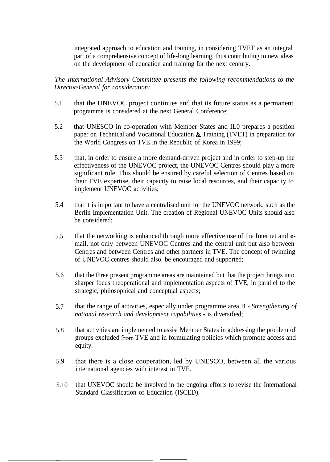integrated approach to education and training, in considering TVET as an integral part of a comprehensive concept of life-long learning, thus contributing to new ideas on the development of education and training for the next century.

*The International Advisory Committee presents the following recommendations to the Director-General for consideration:*

- 5.1 that the UNEVOC project continues and that its future status as a permanent programme is considered at the next General Conference;
- 5.2 that UNESCO in co-operation with Member States and IL0 prepares a position paper on Technical and Vocational Education & Training (TVET) in preparation for the World Congress on TVE in the Republic of Korea in 1999;
- 5.3 that, in order to ensure a more demand-driven project and in order to step-up the effectiveness of the UNEVOC project, the UNEVOC Centres should play a more significant role. This should be ensured by careful selection of Centres based on their TVE expertise, their capacity to raise local resources, and their capacity to implement UNEVOC activities;
- 5.4 that it is important to have a centralised unit for the UNEVOC network, such as the Berlin Implementation Unit. The creation of Regional UNEVOC Units should also be considered;
- 5.5 that the networking is enhanced through more effective use of the Internet and email, not only between UNEVOC Centres and the central unit but also between Centres and between Centres and other partners in TVE. The concept of twinning of UNEVOC centres should also. be encouraged and supported;
- 5.6 that the three present programme areas are maintained but that the project brings into sharper focus theoperational and implementation aspects of TVE, in parallel to the strategic, philosophical and conceptual aspects;
- 5.7 that the range of activities, especially under programme area B - *Strengthening of national research and development capabilities -* is diversified;
- 5.8 that activities are implemented to assist Member States in addressing the problem of groups excluded from TVE and in formulating policies which promote access and equity.
- 5.9 that there is a close cooperation, led by UNESCO, between all the various international agencies with interest in TVE.
- 5.10 that UNEVOC should be involved in the ongoing efforts to revise the International Standard Classification of Education (ISCED).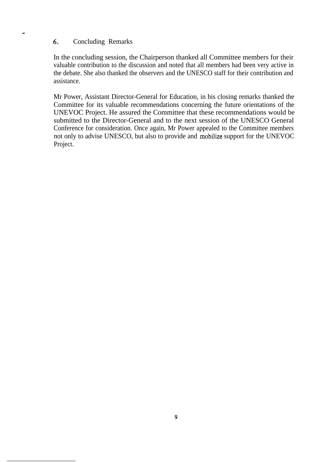#### 6. Concluding Remarks

In the concluding session, the Chairperson thanked all Committee members for their valuable contribution to the discussion and noted that all members had been very active in the debate. She also thanked the observers and the UNESCO staff for their contribution and assistance.

Mr Power, Assistant Director-General for Education, in his closing remarks thanked the Committee for its valuable recommendations concerning the future orientations of the UNEVOC Project. He assured the Committee that these recommendations would be submitted to the Director-General and to the next session of the UNESCO General Conference for consideration. Once again, Mr Power appealed to the Committee members not only to advise UNESCO, but also to provide and mobilize support for the UNEVOC Project.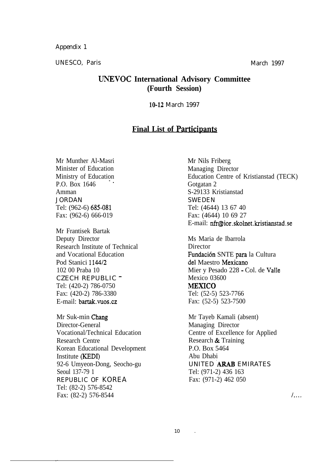Appendix 1

UNESCO, Paris March 1997

## **UNEVOC International Advisory Committee (Fourth Session)**

10-12 March 1997

# **Final List of Participanti**

Mr Munther Al-Masri Minister of Education Ministry of Education P.O. Box 1646 Amman JORDAN Tel: (962-6) 685-081 Fax: (962-6) 666-019

Mr Frantisek Bartak Deputy Director Research Institute of Technical and Vocational Education Pod Stanici 114412 102 00 Praba 10 CZECH REPUBLIC - Tel: (420-2) 786-0750 Fax: (420-2) 786-3380 E-mail: bartak.vuos.cz

Mr Suk-min Chang Director-General Vocational/Technical Education Research Centre Korean Educational Development Institute (KEDI) 92-6 Umyeon-Dong, Seocho-gu Seoul 137-79 1 REPUBLIC OF KOREA Tel: (82-2) 576-8542 Fax: (82-2) 576-8544

Mr Nils Friberg Managing Director Education Centre of Kristianstad (TECK) Gotgatan 2 S-29133 Kristianstad SWEDEN Tel: (4644) 13 67 40 Fax: (4644) 10 69 27 E-mail: nfr@ior.skolnet.kristianstad.se

Ms Maria de Ibarrola **Director** Fundación SNTE para la Cultura del Maestro Mexicano Mier y Pesado 228 - Col. de Valle Mexico 03600 MEXICO Tel: (52-5) 523-7766 Fax: (52-5) 523-7500

Mr Tayeb Kamali (absent) Managing Director Centre of Excellence for Applied Research & Training P.O. Box 5464 Abu Dhabi UNITED ARAB EMIRATES Tel: (971-2) 436 163 Fax: (971-2) 462 050

 $\mathcal{L}$ ...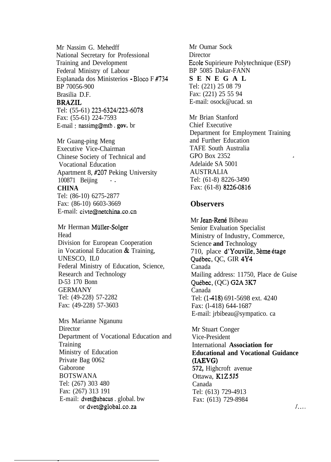Mr Nassim G. Mehedff National Secretary for Professional Training and Development Federal Ministry of Labour Esplanada dos Ministerios - Bloco F #734 BP 70056-900 Brasilia D.F. **BRAZIL**

Tel: (55-61) 223-6324/223-6078 Fax: (55-61) 224-7593 E-mail: nassimg@mtb.gov.br

Mr Guang-ping Meng Executive Vice-Chairman Chinese Society of Technical and Vocational Education Apartment 8, #207 Peking University 100871 Beijing ... **CHINA** Tel: (86-10) 6275-2877 Fax: (86-10) 6603-3669 E-mail: civte@netchina.co.cn

Mr Herman Miiller-Solger Head Division for European Cooperation in Vocational Education & Training, UNESCO, IL0 Federal Ministry of Education, Science, Research and Technology D-53 170 Bonn GERMANY Tel: (49-228) 57-2282 Fax: (49-228) 57-3603

Mrs Marianne Nganunu Director Department of Vocational Education and **Training** Ministry of Education Private Bag 0062 Gaborone BOTSWANA Tel: (267) 303 480 Fax: (267) 313 191 E-mail: dvet@abacus . global. bw or dvet@global.co.za

\_

Mr Oumar Sock **Director** Ecole Supirieure Polytechnique (ESP) BP 5085 Dakar-FANN **SENEGAL** Tel: (221) 25 08 79 Fax: (221) 25 55 94 E-mail: osock@ucad. sn

Mr Brian Stanford Chief Executive Department for Employment Training and Further Education TAFE South Australia GPO Box 2352 Adelaide SA 5001 AUSTRALIA Tel: (61-8) 8226-3490 Fax: (61-8) 8226-0816

#### **Observers**

Mr Jean-René Bibeau Senior Evaluation Specialist Ministry of Industry, Commerce, Science **and** Technology 710, place d'Youville, 3ème étage Québec, QC, GIR 4Y4 Canada Mailing address: 11750, Place de Guise Québec, (QC) G2A 3K7 Canada Tel: (1418) 691-5698 ext. 4240 Fax: (l-418) 644-1687 E-mail: jrbibeau@sympatico. ca

Mr Stuart Conger Vice-President International **Association for Educational and Vocational Guidance (IAEVG) 572,** Highcroft avenue Ottawa, KlZ 5J5 Canada Tel: (613) 729-4913 Fax: (613) 729-8984

 $\overline{1}$ ...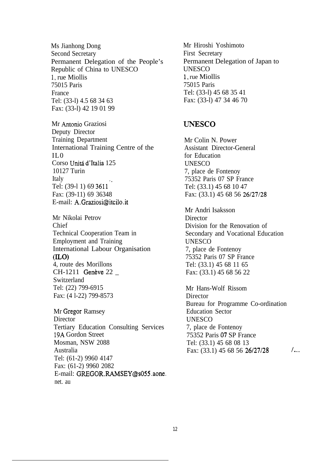Ms Jianhong Dong Second Secretary Permanent Delegation of the People's Republic of China to UNESCO 1, rue Miollis 75015 Paris France Tel: (33-l) 4.5 68 34 63 Fax: (33-l) 42 19 01 99

Mr Antonio Graziosi Deputy Director Training Department International Training Centre of the  $\overline{0}$ . II Corso Unitá d'Italia 125 10127 Turin Italy Tel: (39-l 1) 69 3611\_ . Fax: (39-11) 69 36348 E-mail: A.Graziosi@itcilo.it

Mr Nikolai Petrov Chief Technical Cooperation Team in Employment and Training International Labour Organisation (ILO) 4, route des Morillons CH-1211 Genève 22 Switzerland Tel: (22) 799-6915 Fax: (4 l-22) 799-8573

Mr Gregor Ramsey **Director** Tertiary Education Consulting Services 19A Gordon Street Mosman, NSW 2088 Australia Tel: (61-2) 9960 4147 Fax: (61-2) 9960 2082 E-mail: GREGOR.RAMSEY@s055.aone. net. au

Mr Hiroshi Yoshimoto First Secretary Permanent Delegation of Japan to **UNESCO** 1, rue Miollis 75015 Paris Tel: (33-l) 45 68 35 41 Fax: (33-l) 47 34 46 70

## UNESCO

Mr Colin N. Power Assistant Director-General for Education UNESCO 7, place de Fontenoy 75352 Paris 07 SP France Tel: (33.1) 45 68 10 47 Fax: (33.1) 45 68 56 26/27/28

Mr Andri Isaksson **Director** Division for the Renovation of Secondary and Vocational Education UNESCO 7, place de Fontenoy 75352 Paris 07 SP France Tel: (33.1) 45 68 11 65 Fax: (33.1) 45 68 56 22

Mr Hans-Wolf Rissom **Director** Bureau for Programme Co-ordination Education Sector UNESCO 7, place de Fontenoy 75352 Paris 07 SP France Tel: (33.1) 45 68 08 13 Fax:  $(33.1)$  45 68 56 26/27/28  $/ \dots$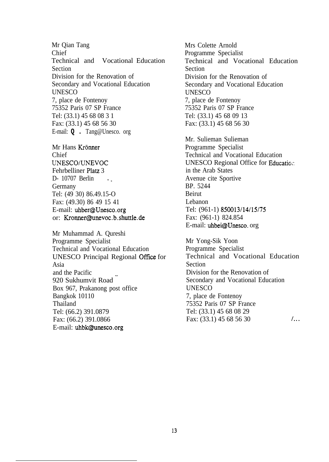Mr Qian Tang Chief Technical and Vocational Education Section Division for the Renovation of Secondary and Vocational Education **UNESCO** 7, place de Fontenoy 75352 Paris 07 SP France Tel: (33.1) 45 68 08 3 1 Fax: (33.1) 45 68 56 30 E-mail: **Q .** Tang@Unesco. org

Mr Hans Krönner Chief UNESCO/UNEVOC Fehrbelliner Platz 3 D- 10707 Berlin ... Germany Tel: (49 30) 86.49.15-O Fax: (49.30) 86 49 15 41 E-mail: uhber@Unesco.org or: Kronner@unevoc.b.shuttle.de

Mr Muhammad A. Qureshi Programme Specialist Technical and Vocational Education UNESCO Principal Regional Office for Asia and the Pacific 920 Sukhumvit Road - Box 967, Prakanong post office Bangkok 10110 Thailand Tel: (66.2) 391.0879 Fax: (66.2) 391.0866 E-mail: uhbk@unesco.org

Mrs Colette Arnold Programme Specialist Technical and Vocational Education Section Division for the Renovation of Secondary and Vocational Education UNESCO 7, place de Fontenoy 75352 Paris 07 SP France Tel: (33.1) 45 68 09 13 Fax: (33.1) 45 68 56 30

Mr. Sulieman Sulieman Programme Specialist Technical and Vocational Education UNESCO Regional Office for Education in the Arab States Avenue cite Sportive BP. 5244 Beirut Lebanon Tel: (961-1) 850013/14/15/75 Fax: (961-1) 824.854 E-mail: uhbei@Unesco. org

Mr Yong-Sik Yoon Programme Specialist Technical and Vocational Education Section Division for the Renovation of Secondary and Vocational Education **UNESCO** 7, place de Fontenoy 75352 Paris 07 SP France Tel: (33.1) 45 68 08 29 Fax:  $(33.1)$  45 68 56 30  $\ldots$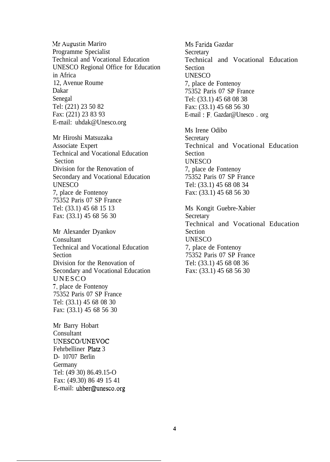.Mr Augustin Mariro Programme Specialist Technical and Vocational Education UNESCO Regional Office for Education in Africa 12, Avenue Roume Dakar Senegal Tel: (221) 23 50 82 Fax: (221) 23 83 93 E-mail: uhdak@Unesco.org

Mr Hiroshi Matsuzaka Associate Expert Technical and Vocational Education Section Division for the Renovation of Secondary and Vocational Education **UNESCO** 7, place de Fontenoy 75352 Paris 07 SP France Tel: (33.1) 45 68 15 13 Fax: (33.1) 45 68 56 30

Mr Alexander Dyankov **Consultant** Technical and Vocational Education Section Division for the Renovation of Secondary and Vocational Education UNESCO 7, place de Fontenoy 75352 Paris 07 SP France Tel: (33.1) 45 68 08 30 Fax: (33.1) 45 68 56 30

Mr Barry Hobart Consultant UNESCO/UNEVOC Fehrbelliner Platz 3 D- 10707 Berlin Germany Tel: (49 30) 86.49.15-O Fax: (49.30) 86 49 15 41 E-mail: uhber@unesco.org Ms Farida Gazdar **Secretary** Technical and Vocational Education Section UNESCO 7, place de Fontenoy 75352 Paris 07 SP France Tel: (33.1) 45 68 08 38 Fax: (33.1) 45 68 56 30 E-mail : F. Gazdar@Unesco . org

Ms Irene Odibo **Secretary** Technical and Vocational Education Section UNESCO 7, place de Fontenoy 75352 Paris 07 SP France Tel: (33.1) 45 68 08 34 Fax: (33.1) 45 68 56 30

Ms Kongit Guebre-Xabier **Secretary** Technical and Vocational Education Section UNESCO 7, place de Fontenoy 75352 Paris 07 SP France Tel: (33.1) 45 68 08 36 Fax: (33.1) 45 68 56 30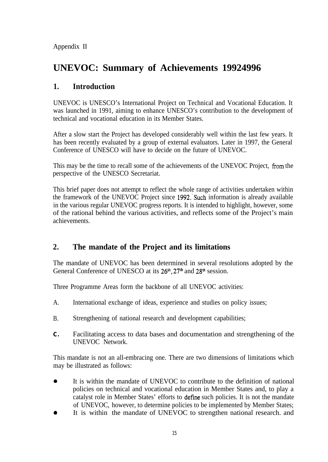Appendix II

# **UNEVOC: Summary of Achievements 19924996**

# **1. Introduction**

UNEVOC is UNESCO's International Project on Technical and Vocational Education. It was launched in 1991, aiming to enhance UNESCO's contribution to the development of technical and vocational education in its Member States.

After a slow start the Project has developed considerably well within the last few years. It has been recently evaluated by a group of external evaluators. Later in 1997, the General Conference of UNESCO will have to decide on the future of UNEVOC.

This may be the time to recall some of the achievements of the UNEVOC Project, from the perspective of the UNESCO Secretariat.

This brief paper does not attempt to reflect the whole range of activities undertaken within the framework of the UNEVOC Project since 1992. Such information is already available in the various regular UNEVOC progress reports. It is intended to highlight, however, some of the rational behind the various activities, and reflects some of the Project's main achievements.

# **2. The mandate of the Project and its limitations**

The mandate of UNEVOC has been determined in several resolutions adopted by the General Conference of UNESCO at its 26<sup>th</sup>, 27<sup>th</sup> and 28<sup>th</sup> session.

Three Programme Areas form the backbone of all UNEVOC activities:

- A. International exchange of ideas, experience and studies on policy issues;
- B. Strengthening of national research and development capabilities;
- **C.** Facilitating access to data bases and documentation and strengthening of the UNEVOC Network.

This mandate is not an all-embracing one. There are two dimensions of limitations which may be illustrated as follows:

- 0 It is within the mandate of UNEVOC to contribute to the definition of national policies on technical and vocational education in Member States and, to play a catalyst role in Member States' efforts to define such policies. It is not the mandate of UNEVOC, however, to determine policies to be implemented by Member States;
- 0 It is within the mandate of UNEVOC to strengthen national research. and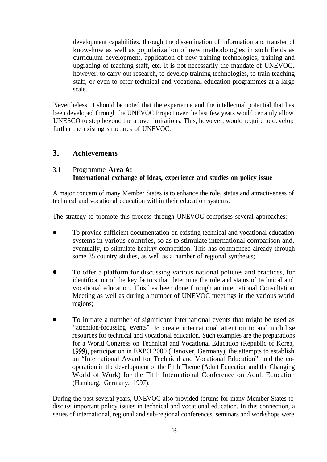development capabilities. through the dissemination of information and transfer of know-how as well as popularization of new methodologies in such fields as curriculum development, application of new training technologies, training and upgrading of teaching staff, etc. It is not necessarily the mandate of UNEVOC, however, to carry out research, to develop training technologies, to train teaching staff, or even to offer technical and vocational education programmes at a large scale.

Nevertheless, it should be noted that the experience and the intellectual potential that has been developed through the UNEVOC Project over the last few years would certainly allow UNESCO to step beyond the above limitations. This, however, would require to develop further the existing structures of UNEVOC.

#### 3. **Achievements**

#### 3.1 Programme **Area A: International exchange of ideas, experience and studies on policy issue**

A major concern of many Member States is to enhance the role, status and attractiveness of technical and vocational education within their education systems.

The strategy to promote this process through UNEVOC comprises several approaches:

- 0 To provide sufficient documentation on existing technical and vocational education systems in various countries, so as to stimulate international comparison and, eventually, to stimulate healthy competition. This has commenced already through some 35 country studies, as well as a number of regional syntheses;
- 0 To offer a platform for discussing various national policies and practices, for identification of the key factors that determine the role and status of technical and vocational education. This has been done through an international Consultation Meeting as well as during a number of UNEVOC meetings in the various world regions;
- 0 To initiate a number of significant international events that might be used as "attention-focussing events" to create international attention to and mobilise resources for technical and vocational education. Such examples are the preparations for a World Congress on Technical and Vocational Education (Republic of Korea, 1999), participation in EXPO 2000 (Hanover, Germany), the attempts to establish an "International Award for Technical and Vocational Education", and the cooperation in the development of the Fifth Theme (Adult Education and the Changing World of Work) for the Fifth International Conference on Adult Education (Hamburg, Germany, 1997).

During the past several years, UNEVOC also provided forums for many Member States to discuss important policy issues in technical and vocational education. In this connection, a series of international, regional and sub-regional conferences, seminars and workshops were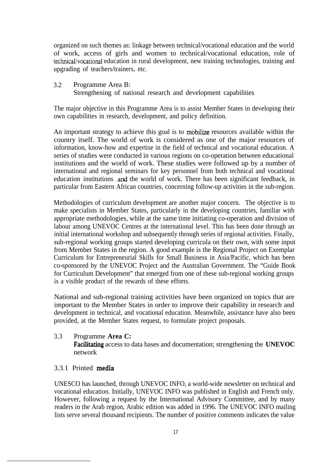organized on such themes as: linkage between technical/vocational education and the world of work, access of girls and women to technical/vocational education, role of technical/vocational education in rural development, new training technologies, training and upgrading of teachers/trainers, etc.

3.2 Programme Area B: Strengthening of national research and development capabilities

The major objective in this Programme Area is to assist Member States in developing their own capabilities in research, development, and policy definition.

An important strategy to achieve this goal is to mobilize resources available within the country itself. The world of work is considered as one of the major resources of information, know-how and expertise in the field of technical and vocational education. A series of studies were conducted in various regions on co-operation between educational institutions and the world of work. These studies were followed up by a number of international and regional seminars for key personnel from both technical and vocational education institutions .and the world of work. There has been significant feedback, in particular from Eastern African countries, concerning follow-up activities in the sub-region.

Methodologies of curriculum development are another major concern. The objective is to make specialists in Member States, particularly in the developing countries, familiar with appropriate methodologies, while at the same time initiating co-operation and division of labour among UNEVOC Centres at the international level. This has been done through an initial international workshop and subsequently through series of regional activities. Finally, sub-regional working groups started developing curricula on their own, with some input from Member States in the region. A good example is the Regional Project on Exemplar Curriculum for Entrepreneurial Skills for Small Business in Asia/Pacific, which has been co-sponsored by the UNEVOC Project and the Australian Government. The "Guide Book for Curriculum Development" that emerged from one of these sub-regional working groups is a visible product of the rewards of these efforts.

National and sub-regional training activities have been organized on topics that are important to the Member States in order to improve their capability in research and development in technical, and vocational education. Meanwhile, assistance have also been provided, at the Member States request, to formulate project proposals.

3.3 Programme **Area C:**

Facilitating access to data bases and documentation; strengthening the **UNEVOC** network

#### 3.3.1 Printed media

UNESCO has launched, through UNEVOC INFO, a world-wide newsletter on technical and vocational education. Initially, UNEVOC INFO was published in English and French only. However, following a request by the International Advisory Committee, and by many readers in the Arab region, Arabic edition was added in 1996. The UNEVOC INFO mailing lists serve several thousand recipients. The number of positive comments indicates the value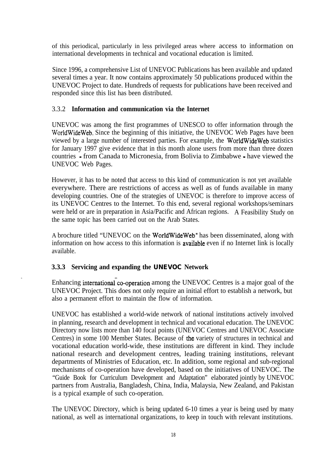of this periodical, particularly in less privileged areas where access to information on international developments in technical and vocational education is limited.

Since 1996, a comprehensive List of UNEVOC Publications has been available and updated several times a year. It now contains approximately 50 publications produced within the UNEVOC Project to date. Hundreds of requests for publications have been received and responded since this list has been distributed.

### 3.3.2 **Information and communication via the Internet**

UNEVOC was among the first programmes of UNESCO to offer information through the WorldWideWeb. Since the beginning of this initiative, the UNEVOC Web Pages have been viewed by a large number of interested parties. For example, the WorldWideWeb statistics for January 1997 give evidence that in this month alone users from more than three dozen countries - from Canada to Micronesia, from Bolivia to Zimbabwe - have viewed the UNEVOC Web Pages.

However, it has to be noted that access to this kind of communication is not yet available everywhere. There are restrictions of access as well as of funds available in many developing countries. One of the strategies of UNEVOC is therefore to improve access of its UNEVOC Centres to the Internet. To this end, several regional workshops/seminars were held or are in preparation in Asia/Pacific and African regions. A Feasibility Study on the same topic has been carried out on the Arab States.

A brochure titled "UNEVOC on the WorldWideWeb" has been disseminated, along with information on how access to this information is **available** even if no Internet link is locally available.

#### **3.3.3 Servicing and expanding the UNEVOC Network**

Enhancing international co-operation among the UNEVOC Centres is a major goal of the UNEVOC Project. This does not only require an initial effort to establish a network, but also a permanent effort to maintain the flow of information.

UNEVOC has established a world-wide network of national institutions actively involved in planning, research and development in technical and vocational education. The UNEVOC Directory now lists more than 140 focal points (UNEVOC Centres and UNEVOC Associate Centres) in some 100 Member States. Because of the variety of structures in technical and vocational education world-wide, these institutions are different in kind. They include national research and development centres, leading training institutions, relevant departments of Ministries of Education, etc. In addition, some regional and sub-regional mechanisms of co-operation have developed, based on the initiatives of UNEVOC. The "Guide Book for Curriculum Development and Adaptation" elaborated jointly by UNEVOC partners from Australia, Bangladesh, China, India, Malaysia, New Zealand, and Pakistan is a typical example of such co-operation.

The UNEVOC Directory, which is being updated 6-10 times a year is being used by many national, as well as international organizations, to keep in touch with relevant institutions.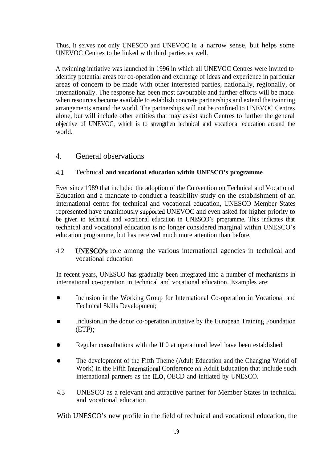Thus, it serves not only UNESCO and UNEVOC in a narrow sense, but helps some UNEVOC Centres to be linked with third parties as well.

A twinning initiative was launched in 1996 in which all UNEVOC Centres were invited to identify potential areas for co-operation and exchange of ideas and experience in particular areas of concern to be made with other interested parties, nationally, regionally, or internationally. The response has been most favourable and further efforts will be made when resources become available to establish concrete partnerships and extend the twinning arrangements around the world. The partnerships will not be confined to UNEVOC Centres alone, but will include other entities that may assist such Centres to further the general objective of UNEVOC, which is to strengthen technical and vocational education around the world.

## 4. General observations

#### 4.1 Technical **and vocational education within UNESCO's programme**

Ever since 1989 that included the adoption of the Convention on Technical and Vocational Education and a mandate to conduct a feasibility study on the establishment of an international centre for technical and vocational education, UNESCO Member States represented have unanimously supported UNEVOC and even asked for higher priority to be given to technical and vocational education in UNESCO's programme. This indicates that technical and vocational education is no longer considered marginal within UNESCO's education programme, but has received much more attention than before.

4.2 **UNESCO's** role among the various international agencies in technical and vocational education

In recent years, UNESCO has gradually been integrated into a number of mechanisms in international co-operation in technical and vocational education. Examples are:

- $\bullet$ Inclusion in the Working Group for International Co-operation in Vocational and Technical Skills Development;
- $\bullet$ Inclusion in the donor co-operation initiative by the European Training Foundation (ETF);
- $\bullet$ Regular consultations with the IL0 at operational level have been established:
- $\bullet$ The development of the Fifth Theme (Adult Education and the Changing World of Work) in the Fifth International Conference on Adult Education that include such international partners as the ILO, OECD and initiated by UNESCO.
- 4.3 UNESCO as a relevant and attractive partner for Member States in technical and vocational education

With UNESCO's new profile in the field of technical and vocational education, the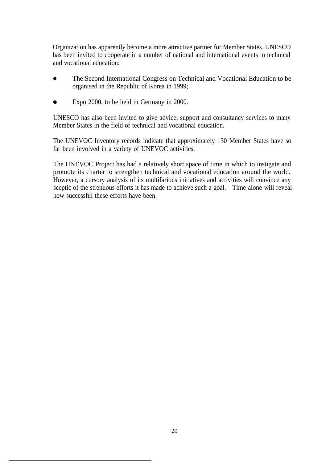Organization has apparently become a more attractive partner for Member States. UNESCO has been invited to cooperate in a number of national and international events in technical and vocational education:

- The Second International Congress on Technical and Vocational Education to be organised in the Republic of Korea in 1999;
- Expo 2000, to be held in Germany in 2000.

UNESCO has also been invited to give advice, support and consultancy services to many Member States in the field of technical and vocational education.

The UNEVOC Inventory records indicate that approximately 130 Member States have so far been involved in a variety of UNEVOC activities.

The UNEVOC Project has had a relatively short space of time in which to instigate and promote its charter to strengthen technical and vocational education around the world. However, a cursory analysis of its multifarious initiatives and activities will convince any sceptic of the strenuous efforts it has made to achieve such a goal. Time alone will reveal how successful these efforts have been.

\_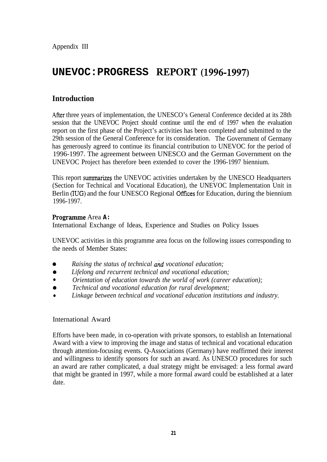Appendix III

# **UNEVOC:PROGRESS REPORT(1996-1997)**

## **Introduction**

.4fter three years of implementation, the UNESCO's General Conference decided at its 28th session that the UNEVOC Project should continue until the end of 1997 when the evaluation report on the first phase of the Project's activities has been completed and submitted to the 29th session of the General Conference for its consideration. The Government of Germany has generously agreed to continue its financial contribution to UNEVOC for the period of 1996-1997. The agreement between UNESCO and the German Government on the UNEVOC Project has therefore been extended to cover the 1996-1997 biennium.

This report summarizes the UNEVOC activities undertaken by the UNESCO Headquarters (Section for Technical and Vocational Education), the UNEVOC Implementation Unit in Berlin (IUG) and the four UNESCO Regional Offices for Education, during the biennium 1996-1997.

#### Programme Area A:

International Exchange of Ideas, Experience and Studies on Policy Issues

UNEVOC activities in this programme area focus on the following issues corresponding to the needs of Member States:

- Raising the status of technical and vocational education;
- *0 Lifelong and recurrent technical and vocational education;*
- <sup>l</sup> *Orientation of education towards the world of work (career education);*
- *0 Technical and vocational education for rural development;*
- Linkage between technical and vocational education institutions and industry.

#### International Award

Efforts have been made, in co-operation with private sponsors, to establish an International Award with a view to improving the image and status of technical and vocational education through attention-focusing events. Q-Associations (Germany) have reaffirmed their interest and willingness to identify sponsors for such an award. As UNESCO procedures for such an award are rather complicated, a dual strategy might be envisaged: a less formal award that might be granted in 1997, while a more formal award could be established at a later date.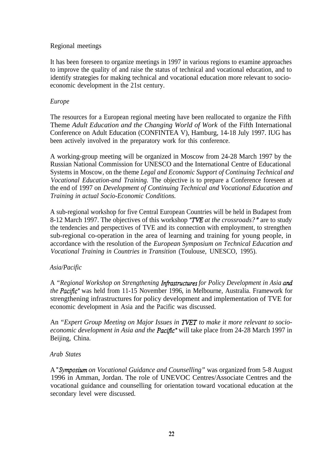#### Regional meetings

It has been foreseen to organize meetings in 1997 in various regions to examine approaches to improve the quality of and raise the status of technical and vocational education, and to identify strategies for making technical and vocational education more relevant to socioeconomic development in the 21st century.

#### *Europe*

The resources for a European regional meeting have been reallocated to organize the Fifth Theme *Adult Education and the Changing World of Work* of the Fifth International Conference on Adult Education (CONFINTEA V), Hamburg, 14-18 July 1997. IUG has been actively involved in the preparatory work for this conference.

A working-group meeting will be organized in Moscow from 24-28 March 1997 by the Russian National Commission for UNESCO and the International Centre of Educational Systems in Moscow, on the theme *Legal and Economic Support of Continuing Technical and Vocational Education-and Training.* The objective is to prepare a Conference foreseen at the end of 1997 on *Development of Continuing Technical and Vocational Education and Training in actual Socio-Economic Conditions.*

A sub-regional workshop for five Central European Countries will be held in Budapest from 8-12 March 1997. The objectives of this workshop "TVE at the crossroads?" are to study the tendencies and perspectives of TVE and its connection with employment, to strengthen sub-regional co-operation in the area of learning and training for young people, in accordance with the resolution of the *European Symposium on Technical Education and Vocational Training in Countries in Transition* (Toulouse, UNESCO, 1995).

#### *Asia/Pacific*

A *"Regional Workshop on Strengthening Infwstructures for Policy Development in Asia ana' the Pacific*" was held from 11-15 November 1996, in Melbourne, Australia. Framework for strengthening infrastructures for policy development and implementation of TVE for economic development in Asia and the Pacific was discussed.

An "Expert Group Meeting on Major Issues in **TVET** to make it more relevant to socio*economic development in Asia and the Pactjic"* will take place from 24-28 March 1997 in Beijing, China.

#### *Arab States*

A *"Symposium on Vocational Guidance and Counselling"* was organized from 5-8 August 1996 in Amman, Jordan. The role of UNEVOC Centres/Associate Centres and the vocational guidance and counselling for orientation toward vocational education at the secondary level were discussed.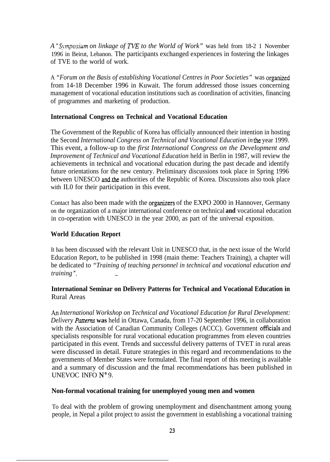*A* "Symposium on linkage of TVE to the World of Work" was held from 18-2 1 November 1996 in Beirut, Lebanon. The participants exchanged experiences in fostering the linkages of TVE to the world of work.

A *"Forum on the Basis of establishing Vocational Centres in Poor Societies"* was organized from 14-18 December 1996 in Kuwait. The forum addressed those issues concerning management of vocational education institutions such as coordination of activities, financing of programmes and marketing of production.

#### **International Congress on Technical and Vocational Education**

The Government of the Republic of Korea has officially announced their intention in hosting the Second *International Congress on Technical and Vocational Education in the* year 1999. This event, a follow-up to the *first International Congress on the Development and Improvement of Technical and Vocational Education* held in Berlin in 1987, will review the achievements in technical and vocational education during the past decade and identify future orientations for the new century. Preliminary discussions took place in Spring 1996 between UNESCO and.the authorities of the Republic of Korea. Discussions also took place with IL0 for their participation in this event.

Contact has also been made with the organizers of the EXPO 2000 in Hannover, Germany on the organization of a major international conference on technical **and** vocational education in co-operation with UNESCO in the year 2000, as part of the universal exposition.

### **World Education Report**

It has been discussed with the relevant Unit in UNESCO that, in the next issue of the World Education Report, to be published in 1998 (main theme: Teachers Training), a chapter will be dedicated to *"Training of teaching personnel in technical and vocational education and training ". -*

#### **International Seminar on Delivery Patterns for Technical and Vocational Education in** Rural Areas

*An International Workshop on Technical and Vocational Education for Rural Development: Delivery Patterns* was held in Ottawa, Canada, from 17-20 September 1996, in collaboration with the Association of Canadian Community Colleges (ACCC). Government officials and specialists responsible for rural vocational education programmes from eleven countries participated in this event. Trends and successful delivery patterns of TVET in rural areas were discussed in detail. Future strategies in this regard and recommendations to the governments of Member States were formulated. The final report of this meeting is available and a summary of discussion and the fmal recommendations has been published in UNEVOC INFO N" 9.

#### **Non-formal vocational training for unemployed young men and women**

To deal with the problem of growing unemployment and disenchantment among young people, in Nepal a pilot project to assist the government in establishing a vocational training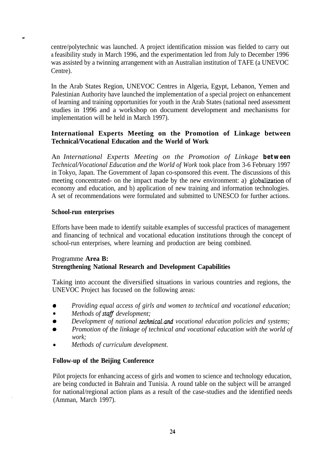centre/polytechnic was launched. A project identification mission was fielded to carry out a feasibility study in March 1996, and the experimentation led from July to December 1996 was assisted by a twinning arrangement with an Australian institution of TAFE (a UNEVOC Centre).

In the Arab States Region, UNEVOC Centres in Algeria, Egypt, Lebanon, Yemen and Palestinian Authority have launched the implementation of a special project on enhancement of learning and training opportunities for youth in the Arab States (national need assessment studies in 1996 and a workshop on document development and mechanisms for implementation will be held in March 1997).

#### **International Experts Meeting on the Promotion of Linkage between Technical/Vocational Education and the World of Work**

An *International Experts Meeting on the Promotion of Linkage between Technical/Vocational Education and the World of Work* took place from 3-6 February 1997 in Tokyo, Japan. The Government of Japan co-sponsored this event. The discussions of this meeting concentrated- on the impact made by the new environment: a) globalization of economy and education, and b) application of new training and information technologies. A set of recommendations were formulated and submitted to UNESCO for further actions.

#### **School-run enterprises**

Efforts have been made to identify suitable examples of successful practices of management and financing of technical and vocational education institutions through the concept of school-run enterprises, where learning and production are being combined.

#### Programme **Area B: Strengthening National Research and Development Capabilities**

Taking into account the diversified situations in various countries and regions, the UNEVOC Project has focused on the following areas:

- 0 *Providing equal access of girls and women to technical and vocational education;*
- Methods of **staff** development;
- *Development of national technical and vocational education policies and systems;*
- *0 Promotion of the linkage of technical and vocational education with the world of work;*
- <sup>l</sup> *Methods of curriculum development.*

#### **Follow-up of the Beijing Conference**

Pilot projects for enhancing access of girls and women to science and technology education, are being conducted in Bahrain and Tunisia. A round table on the subject will be arranged for national/regional action plans as a result of the case-studies and the identified needs (Amman, March 1997).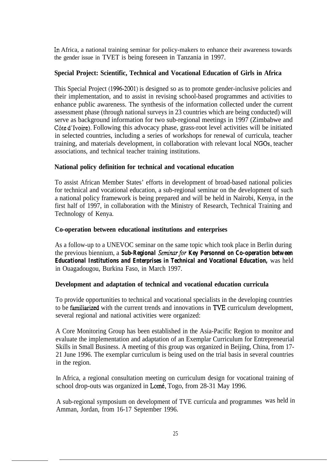In Africa, a national training seminar for policy-makers to enhance their awareness towards the gender issue in TVET is being foreseen in Tanzania in 1997.

#### **Special Project: Scientific, Technical and Vocational Education of Girls in Africa**

This Special Project (1996-2001) is designed so as to promote gender-inclusive policies and their implementation, and to assist in revising school-based programmes and activities to enhance public awareness. The synthesis of the information collected under the current assessment phase (through national surveys in 23 countries which are being conducted) will serve as background information for two sub-regional meetings in 1997 (Zimbabwe and Côte d'Ivoire). Following this advocacy phase, grass-root level activities will be initiated in selected countries, including a series of workshops for renewal of curricula, teacher training, and materials development, in collaboration with relevant local NGOs, teacher associations, and technical teacher training institutions.

#### **National policy definition for technical and vocational education**

To assist African Member States' efforts in development of broad-based national policies for technical and vocational education, a sub-regional seminar on the development of such a national policy framework is being prepared and will be held in Nairobi, Kenya, in the first half of 1997, in collaboration with the Ministry of Research, Technical Training and Technology of Kenya.

#### **Co-operation between educational institutions and enterprises**

As a follow-up to a UNEVOC seminar on the same topic which took place in Berlin during the previous biennium, a *Sub-Regional Seminarfor Key Personnel on Co-operation between Educational Institutions and Enterprises in Technical and Vocational Education,* was held in Ouagadougou, Burkina Faso, in March 1997.

#### **Development and adaptation of technical and vocational education curricula**

To provide opportunities to technical and vocational specialists in the developing countries to be famiharized with the current trends and innovations in TVE curriculum development, several regional and national activities were organized:

A Core Monitoring Group has been established in the Asia-Pacific Region to monitor and evaluate the implementation and adaptation of an Exemplar Curriculum for Entrepreneurial Skills in Small Business. A meeting of this group was organized in Beijing, China, from 17- 21 June 1996. The exemplar curriculum is being used on the trial basis in several countries in the region.

In Africa, a regional consultation meeting on curriculum design for vocational training of school drop-outs was organized in Lomé, Togo, from 28-31 May 1996.

A sub-regional symposium on development of TVE curricula and programmes was held inAmman, Jordan, from 16-17 September 1996.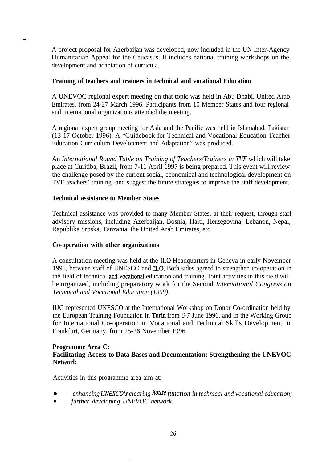A project proposal for Azerbaijan was developed, now included in the UN Inter-Agency Humanitarian Appeal for the Caucasus. It includes national training workshops on the development and adaptation of curricula.

#### **Training of teachers and trainers in technical and vocational Education**

A UNEVOC regional expert meeting on that topic was held in Abu Dhabi, United Arab Emirates, from 24-27 March 1996. Participants from 10 Member States and four regional and international organizations attended the meeting.

A regional expert group meeting for Asia and the Pacific was held in Islamabad, Pakistan (13-17 October 1996). A "Guidebook for Technical and Vocational Education Teacher Education Curriculum Development and Adaptation" was produced.

An *International Round Table on Training of Teachers/Trainers in TVE* which will take place at Curitiba, Brazil, from 7-11 April 1997 is being prepared. This event will review the challenge posed by the current social, economical and technological development on TVE teachers' training -and suggest the future strategies to improve the staff development.

#### **Technical assistance to Member States**

Technical assistance was provided to many Member States, at their request, through staff advisory missions, including Azerbaijan, Bosnia, Haiti, Herzegovina, Lebanon, Nepal, Republika Srpska, Tanzania, the United Arab Emirates, etc.

#### **Co-operation with other organizations**

A consultation meeting was held at the IL0 Headquarters in Geneva in early November 1996, between staff of UNESCO and ILO. Both sides agreed to strengthen co-operation in the field of technical and vocational education and training. Joint activities in this field will be organized, including preparatory work for the Second *International Congress on Technical and Vocational Education (1999).*

IUG represented UNESCO at the International Workshop on Donor Co-ordination held by the European Training Foundation in Turin from *6-7* June 1996, and in the Working Group for International Co-operation in Vocational and Technical Skills Development, in Frankfurt, Germany, from 25-26 November 1996.

#### **Programme Area C: Facilitating Access to Data Bases and Documentation; Strengthening the UNEVOC Network**

Activities in this programme area aim at:

- 0 *enhancing UNESCO's clearing* house *function in technical and vocational education;*
- <sup>l</sup> *further developing UNEVOC network.*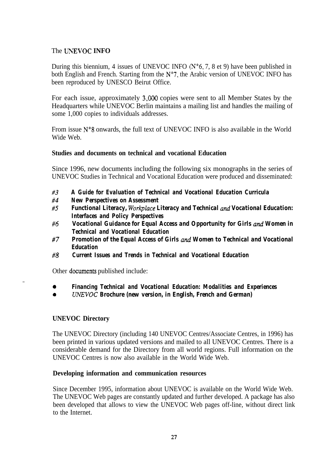#### The **LNEVOC INFO**

During this biennium, 4 issues of UNEVOC INFO  $(N<sup>o</sup>6, 7, 8$  et 9) have been published in both English and French. Starting from the  $N^{\circ}$ 7, the Arabic version of UNEVOC INFO has been reproduced by UNESCO Beirut Office.

For each issue, approximately 3,000 copies were sent to all Member States by the Headquarters while UNEVOC Berlin maintains a mailing list and handles the mailing of some 1,000 copies to individuals addresses.

From issue  $N^{\circ}$ 8 onwards, the full text of UNEVOC INFO is also available in the World Wide Web.

#### **Studies and documents on technical and vocational Education**

Since 1996, new documents including the following six monographs in the series of UNEVOC Studies in Technical and Vocational Education were produced and disseminated:

- **#3** *A Guide for Evaluation of Technical and Vocational Education Curricula*
- **#4** *New Perspectives on Assessment*
- **#5 Functional Literacy, Workplace Literacy and Technical and Vocational Education:** *Interfaces and Policy Perspectives*
- **#6** *Vocational Guidance for Equal Access and Opportunity for Girls ana' Women in Technical and Vocational Education*
- **#7** *Promotion of the Equal Access of Girls ana' Women to Technical and Vocational Education*
- **#8** *Current Issues and Trends in Technical and Vocational Education*

Other documents published include:

- $\bullet$ *Financing Technical and Vocational Education: Modalities and Experiences*
- $\bullet$ *UNEVOC Brochure (new version, in English, French and German)*

#### **UNEVOC Directory**

 $\overline{a}$ 

The UNEVOC Directory (including 140 UNEVOC Centres/Associate Centres, in 1996) has been printed in various updated versions and mailed to all UNEVOC Centres. There is a considerable demand for the Directory from all world regions. Full information on the UNEVOC Centres is now also available in the World Wide Web.

#### **Developing information and communication resources**

Since December 1995, information about UNEVOC is available on the World Wide Web. The UNEVOC Web pages are constantly updated and further developed. A package has also been developed that allows to view the UNEVOC Web pages off-line, without direct link to the Internet.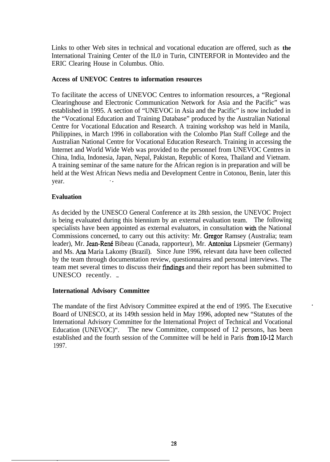Links to other Web sites in technical and vocational education are offered, such as **the** International Training Center of the IL0 in Turin, CINTERFOR in Montevideo and the ERIC Clearing House in Columbus. Ohio.

#### **Access of UNEVOC Centres to information resources**

To facilitate the access of UNEVOC Centres to information resources, a "Regional Clearinghouse and Electronic Communication Network for Asia and the Pacific" was established in 1995. A section of "UNEVOC in Asia and the Pacific" is now included in the "Vocational Education and Training Database" produced by the Australian National Centre for Vocational Education and Research. A training workshop was held in Manila, Philippines, in March 1996 in collaboration with the Colombo Plan Staff College and the Australian National Centre for Vocational Education Research. Training in accessing the Internet and World Wide Web was provided to the personnel from UNEVOC Centres in China, India, Indonesia, Japan, Nepal, Pakistan, Republic of Korea, Thailand and Vietnam. A training seminar of the same nature for the African region is in preparation and will be held at the West African News media and Development Centre in Cotonou, Benin, later this vear.

#### **Evaluation**

\_

As decided by the UNESCO General Conference at its 28th session, the UNEVOC Project is being evaluated during this biennium by an external evaluation team. The following specialists have been appointed as external evaluators, in consultation with the National Commissions concerned, to carry out this activity: Mr. Gregor Ramsey (Australia; team leader), Mr. Jean-René Bibeau (Canada, rapporteur), Mr. Antonius Lipsmeier (Germany) and Ms. Ana Maria Lakomy (Brazil). Since June 1996, relevant data have been collected by the team through documentation review, questionnaires and personal interviews. The team met several times to discuss their fmdings and their report has been submitted to UNESCO recently.  $\overline{\phantom{a}}$ 

#### **International Advisory Committee**

The mandate of the first Advisory Committee expired at the end of 1995. The Executive Board of UNESCO, at its 149th session held in May 1996, adopted new "Statutes of the International Advisory Committee for the International Project of Technical and Vocational Education (UNEVOC)". The new Committee, composed of 12 persons, has been established and the fourth session of the Committee will be held in Paris from 10-12 March 1997.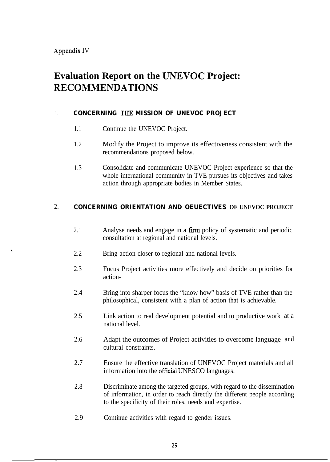\_

# **Evaluation Report on the UNEWOC Project: RECOMMENDATIONS**

#### 1. **CONCERNING THE MISSION OF UNEVOC PROJECT**

- 1.1 Continue the UNEVOC Project.
- 1.2 Modify the Project to improve its effectiveness consistent with the recommendations proposed below.
- 1.3 Consolidate and communicate UNEVOC Project experience so that the whole international community in TVE pursues its objectives and takes action through appropriate bodies in Member States.

### 2. **CONCERNING ORIENTATION AND OEUECTIVES OF UNEVOC PROJECT**

- 2.1 Analyse needs and engage in a firm policy of systematic and periodic consultation at regional and national levels.
- $. 2.2$ Bring action closer to regional and national levels.
	- 2.3 Focus Project activities more effectively and decide on priorities for action-
	- 2.4 Bring into sharper focus the "know how" basis of TVE rather than the philosophical, consistent with a plan of action that is achievable.
	- 2.5 Link action to real development potential and to productive work at a national level.
	- 2.6 Adapt the outcomes of Project activities to overcome language and cultural constraints.
	- 2.7 Ensure the effective translation of UNEVOC Project materials and all information into the offtcial UNESCO languages.
	- 2.8 Discriminate among the targeted groups, with regard to the dissemination of information, in order to reach directly the different people according to the specificity of their roles, needs and expertise.
	- 2.9 Continue activities with regard to gender issues.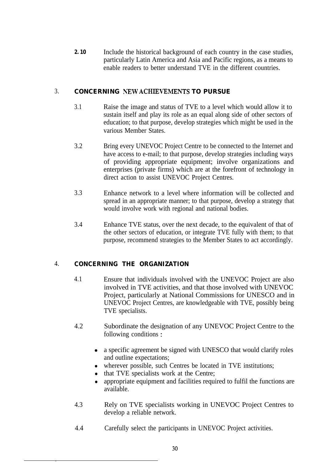**2.10** Include the historical background of each country in the case studies, particularly Latin America and Asia and Pacific regions, as a means to enable readers to better understand TVE in the different countries.

#### 3. **CONCERNING NEW ACHIEVEMENTS TO PURSUE**

- 3.1 Raise the image and status of TVE to a level which would allow it to sustain itself and play its role as an equal along side of other sectors of education; to that purpose, develop strategies which might be used in the various Member States.
- 3.2 Bring every UNEVOC Project Centre to be connected to the Internet and have access to e-mail; to that purpose, develop strategies including ways of providing appropriate equipment; involve organizations and enterprises (private firms) which are at the forefront of technology in direct action to assist UNEVOC Project Centres.
- 3.3 Enhance network to a level where information will be collected and spread in an appropriate manner; to that purpose, develop a strategy that would involve work with regional and national bodies.
- 3.4 Enhance TVE status, over the next decade, to the equivalent of that of the other sectors of education, or integrate TVE fully with them; to that purpose, recommend strategies to the Member States to act accordingly.

### 4. **CONCERNING THE ORGANIZATION**

 $\overline{a}$ 

- 4.1 Ensure that individuals involved with the UNEVOC Project are also involved in TVE activities, and that those involved with UNEVOC Project, particularly at National Commissions for UNESCO and in UNEVOC Project Centres, are knowledgeable with TVE, possibly being TVE specialists.
- 4.2 Subordinate the designation of any UNEVOC Project Centre to the following conditions :
	- a specific agreement be signed with UNESCO that would clarify roles and outline expectations;
	- wherever possible, such Centres be located in TVE institutions;
	- that TVE specialists work at the Centre;
	- <sup>l</sup> appropriate equipment and facilities required to fulfil the functions are available.
- 4.3 Rely on TVE specialists working in UNEVOC Project Centres to develop a reliable network.
- 4.4 Carefully select the participants in UNEVOC Project activities.